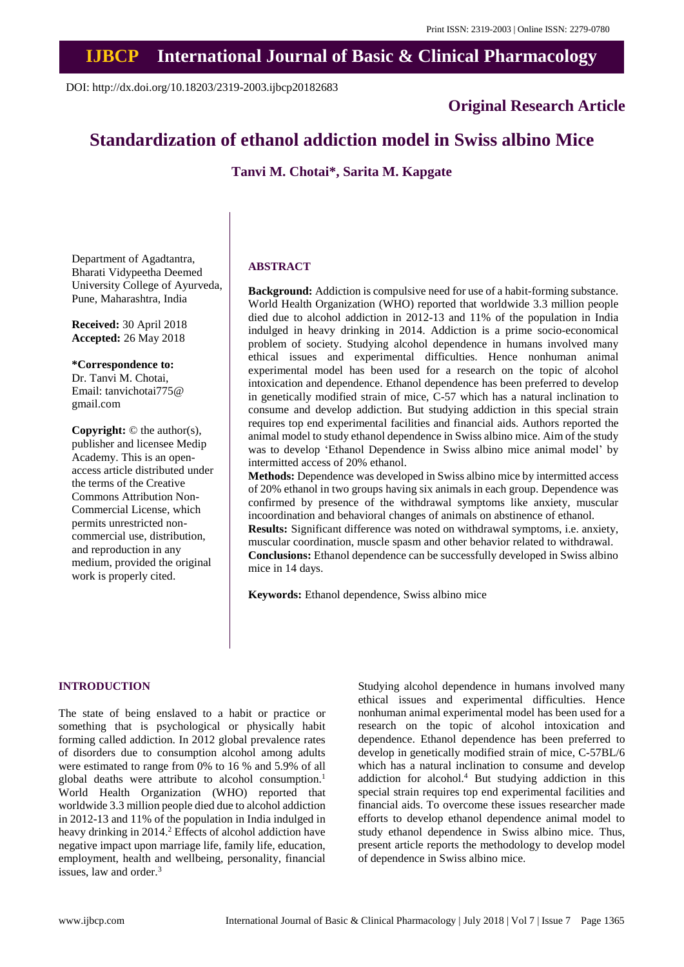# **IJBCP International Journal of Basic & Clinical Pharmacology**

DOI: http://dx.doi.org/10.18203/2319-2003.ijbcp20182683

**Original Research Article**

# **Standardization of ethanol addiction model in Swiss albino Mice**

**Tanvi M. Chotai\*, Sarita M. Kapgate**

Department of Agadtantra, Bharati Vidypeetha Deemed University College of Ayurveda, Pune, Maharashtra, India

**Received:** 30 April 2018 **Accepted:** 26 May 2018

**\*Correspondence to:** Dr. Tanvi M. Chotai, Email: tanvichotai775@ gmail.com

**Copyright:** © the author(s), publisher and licensee Medip Academy. This is an openaccess article distributed under the terms of the Creative Commons Attribution Non-Commercial License, which permits unrestricted noncommercial use, distribution, and reproduction in any medium, provided the original work is properly cited.

## **ABSTRACT**

mice in 14 days.

**Background:** Addiction is compulsive need for use of a habit-forming substance. World Health Organization (WHO) reported that worldwide 3.3 million people died due to alcohol addiction in 2012-13 and 11% of the population in India indulged in heavy drinking in 2014. Addiction is a prime socio-economical problem of society. Studying alcohol dependence in humans involved many ethical issues and experimental difficulties. Hence nonhuman animal experimental model has been used for a research on the topic of alcohol intoxication and dependence. Ethanol dependence has been preferred to develop in genetically modified strain of mice, C-57 which has a natural inclination to consume and develop addiction. But studying addiction in this special strain requires top end experimental facilities and financial aids. Authors reported the animal model to study ethanol dependence in Swiss albino mice. Aim of the study was to develop 'Ethanol Dependence in Swiss albino mice animal model' by intermitted access of 20% ethanol.

**Methods:** Dependence was developed in Swiss albino mice by intermitted access of 20% ethanol in two groups having six animals in each group. Dependence was confirmed by presence of the withdrawal symptoms like anxiety, muscular incoordination and behavioral changes of animals on abstinence of ethanol. **Results:** Significant difference was noted on withdrawal symptoms, i.e. anxiety, muscular coordination, muscle spasm and other behavior related to withdrawal. **Conclusions:** Ethanol dependence can be successfully developed in Swiss albino

**Keywords:** Ethanol dependence, Swiss albino mice

# **INTRODUCTION**

The state of being enslaved to a habit or practice or something that is psychological or physically habit forming called addiction. In 2012 global prevalence rates of disorders due to consumption alcohol among adults were estimated to range from 0% to 16 % and 5.9% of all global deaths were attribute to alcohol consumption.<sup>1</sup> World Health Organization (WHO) reported that worldwide 3.3 million people died due to alcohol addiction in 2012-13 and 11% of the population in India indulged in heavy drinking in 2014.<sup>2</sup> Effects of alcohol addiction have negative impact upon marriage life, family life, education, employment, health and wellbeing, personality, financial issues, law and order.<sup>3</sup>

Studying alcohol dependence in humans involved many ethical issues and experimental difficulties. Hence nonhuman animal experimental model has been used for a research on the topic of alcohol intoxication and dependence. Ethanol dependence has been preferred to develop in genetically modified strain of mice, C-57BL/6 which has a natural inclination to consume and develop addiction for alcohol.<sup>4</sup> But studying addiction in this special strain requires top end experimental facilities and financial aids. To overcome these issues researcher made efforts to develop ethanol dependence animal model to study ethanol dependence in Swiss albino mice. Thus, present article reports the methodology to develop model of dependence in Swiss albino mice.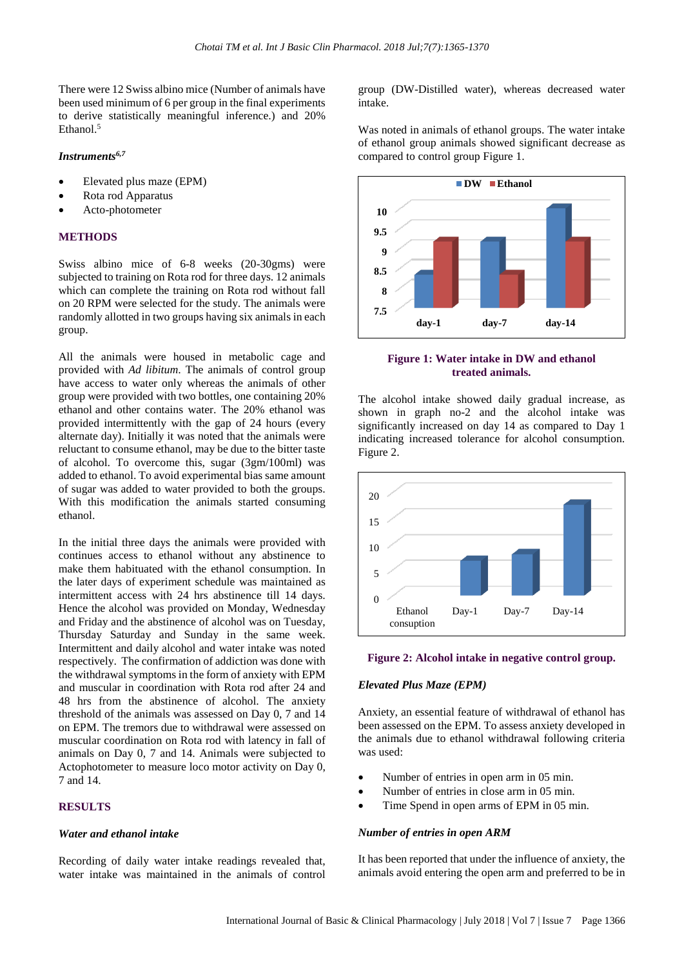There were 12 Swiss albino mice (Number of animals have been used minimum of 6 per group in the final experiments to derive statistically meaningful inference.) and 20% Ethanol. 5

# *Instruments6,7*

- Elevated plus maze (EPM)
- Rota rod Apparatus
- Acto-photometer

# **METHODS**

Swiss albino mice of 6-8 weeks (20-30gms) were subjected to training on Rota rod for three days. 12 animals which can complete the training on Rota rod without fall on 20 RPM were selected for the study. The animals were randomly allotted in two groups having six animals in each group.

All the animals were housed in metabolic cage and provided with *Ad libitum*. The animals of control group have access to water only whereas the animals of other group were provided with two bottles, one containing 20% ethanol and other contains water. The 20% ethanol was provided intermittently with the gap of 24 hours (every alternate day). Initially it was noted that the animals were reluctant to consume ethanol, may be due to the bitter taste of alcohol. To overcome this, sugar (3gm/100ml) was added to ethanol. To avoid experimental bias same amount of sugar was added to water provided to both the groups. With this modification the animals started consuming ethanol.

In the initial three days the animals were provided with continues access to ethanol without any abstinence to make them habituated with the ethanol consumption. In the later days of experiment schedule was maintained as intermittent access with 24 hrs abstinence till 14 days. Hence the alcohol was provided on Monday, Wednesday and Friday and the abstinence of alcohol was on Tuesday, Thursday Saturday and Sunday in the same week. Intermittent and daily alcohol and water intake was noted respectively. The confirmation of addiction was done with the withdrawal symptoms in the form of anxiety with EPM and muscular in coordination with Rota rod after 24 and 48 hrs from the abstinence of alcohol. The anxiety threshold of the animals was assessed on Day 0, 7 and 14 on EPM. The tremors due to withdrawal were assessed on muscular coordination on Rota rod with latency in fall of animals on Day 0, 7 and 14. Animals were subjected to Actophotometer to measure loco motor activity on Day 0, 7 and 14.

# **RESULTS**

## *Water and ethanol intake*

Recording of daily water intake readings revealed that, water intake was maintained in the animals of control group (DW-Distilled water), whereas decreased water intake.

Was noted in animals of ethanol groups. The water intake of ethanol group animals showed significant decrease as compared to control group Figure 1.



# **Figure 1: Water intake in DW and ethanol treated animals.**

The alcohol intake showed daily gradual increase, as shown in graph no-2 and the alcohol intake was significantly increased on day 14 as compared to Day 1 indicating increased tolerance for alcohol consumption. Figure 2.



# **Figure 2: Alcohol intake in negative control group.**

# *Elevated Plus Maze (EPM)*

Anxiety, an essential feature of withdrawal of ethanol has been assessed on the EPM. To assess anxiety developed in the animals due to ethanol withdrawal following criteria was used:

- Number of entries in open arm in 05 min.
- Number of entries in close arm in 05 min.
- Time Spend in open arms of EPM in 05 min.

### *Number of entries in open ARM*

It has been reported that under the influence of anxiety, the animals avoid entering the open arm and preferred to be in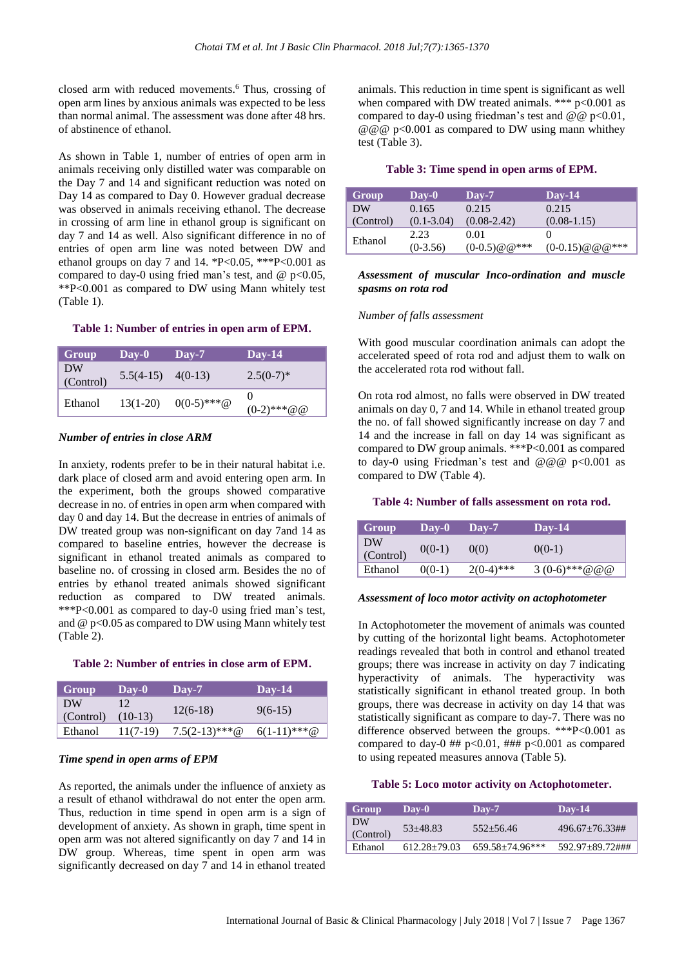closed arm with reduced movements. <sup>6</sup> Thus, crossing of open arm lines by anxious animals was expected to be less than normal animal. The assessment was done after 48 hrs. of abstinence of ethanol.

As shown in Table 1, number of entries of open arm in animals receiving only distilled water was comparable on the Day 7 and 14 and significant reduction was noted on Day 14 as compared to Day 0. However gradual decrease was observed in animals receiving ethanol. The decrease in crossing of arm line in ethanol group is significant on day 7 and 14 as well. Also significant difference in no of entries of open arm line was noted between DW and ethanol groups on day 7 and 14. \*P<0.05, \*\*\*P<0.001 as compared to day-0 using fried man's test, and  $\omega$  p<0.05, \*\*P<0.001 as compared to DW using Mann whitely test (Table 1).

#### **Table 1: Number of entries in open arm of EPM.**

| Group           | $\bf\mathbf{Day}\text{-}0$ | $\bf\bf\bm{\mathsf{D}}$ av-7 | $Day-14$           |
|-----------------|----------------------------|------------------------------|--------------------|
| DW<br>(Control) | $5.5(4-15)$ $4(0-13)$      |                              | $2.5(0-7)^*$       |
| Ethanol         | $13(1-20)$                 | $0(0-5)$ ***@                | 0<br>$(0-2)$ ***@@ |

## *Number of entries in close ARM*

In anxiety, rodents prefer to be in their natural habitat i.e. dark place of closed arm and avoid entering open arm. In the experiment, both the groups showed comparative decrease in no. of entries in open arm when compared with day 0 and day 14. But the decrease in entries of animals of DW treated group was non-significant on day 7and 14 as compared to baseline entries, however the decrease is significant in ethanol treated animals as compared to baseline no. of crossing in closed arm. Besides the no of entries by ethanol treated animals showed significant reduction as compared to DW treated animals. \*\*\*P<0.001 as compared to day-0 using fried man's test, and  $@p<0.05$  as compared to DW using Mann whitely test (Table 2).

#### **Table 2: Number of entries in close arm of EPM.**

| Group     | $\bf\bf\bm{\mathsf{Dav-0}}$ | $Day-7$          | $Day-14$       |
|-----------|-----------------------------|------------------|----------------|
| DW        | 12                          | $12(6-18)$       | $9(6-15)$      |
| (Control) | $(10-13)$                   |                  |                |
| Ethanol   | 11(7-19)                    | $7.5(2-13)$ ***@ | $6(1-11)$ ***@ |

## *Time spend in open arms of EPM*

As reported, the animals under the influence of anxiety as a result of ethanol withdrawal do not enter the open arm. Thus, reduction in time spend in open arm is a sign of development of anxiety. As shown in graph, time spent in open arm was not altered significantly on day 7 and 14 in DW group. Whereas, time spent in open arm was significantly decreased on day 7 and 14 in ethanol treated animals. This reduction in time spent is significant as well when compared with DW treated animals. \*\*\* p<0.001 as compared to day-0 using friedman's test and  $@@p<0.01$ ,  $@@@p<0.001$  as compared to DW using mann whithey test (Table 3).

## **Table 3: Time spend in open arms of EPM.**

| Group     | $\bf\mathbf{D}$ av-0 | $\bf\textbf{D}$ av-7 | $\bf\textbf{D}$ av-14 |
|-----------|----------------------|----------------------|-----------------------|
| DW        | 0.165                | 0.215                | 0.215                 |
| (Control) | $(0.1 - 3.04)$       | $(0.08 - 2.42)$      | $(0.08-1.15)$         |
| Ethanol   | 2.23                 | 0.01                 |                       |
|           | $(0-3.56)$           | $(0-0.5)$ @ @***     | $(0-0.15) @ @ @$      |

# *Assessment of muscular Inco-ordination and muscle spasms on rota rod*

### *Number of falls assessment*

With good muscular coordination animals can adopt the accelerated speed of rota rod and adjust them to walk on the accelerated rota rod without fall.

On rota rod almost, no falls were observed in DW treated animals on day 0, 7 and 14. While in ethanol treated group the no. of fall showed significantly increase on day 7 and 14 and the increase in fall on day 14 was significant as compared to DW group animals. \*\*\*P<0.001 as compared to day-0 using Friedman's test and  $@@@p<0.001$  as compared to DW (Table 4).

#### **Table 4: Number of falls assessment on rota rod.**

| Group           | $\bf\bf\bm{\mathsf{D}}$ av-0 | $\bf\mathbf{D}$ av-7 | $Day-14$      |
|-----------------|------------------------------|----------------------|---------------|
| DW<br>(Control) | $0(0-1)$                     | 0(0)                 | $0(0-1)$      |
| Ethanol         | $0(0-1)$                     | $2(0-4)$ ***         | 3 (0-6)***@@@ |

### *Assessment of loco motor activity on actophotometer*

In Actophotometer the movement of animals was counted by cutting of the horizontal light beams. Actophotometer readings revealed that both in control and ethanol treated groups; there was increase in activity on day 7 indicating hyperactivity of animals. The hyperactivity was statistically significant in ethanol treated group. In both groups, there was decrease in activity on day 14 that was statistically significant as compare to day-7. There was no difference observed between the groups. \*\*\*P<0.001 as compared to day-0 ##  $p<0.01$ , ###  $p<0.001$  as compared to using repeated measures annova (Table 5).

# **Table 5: Loco motor activity on Actophotometer.**

| Group           | Dav-0            | $\bf\text{D}$ ay-7     | Day-14              |
|-----------------|------------------|------------------------|---------------------|
| DW<br>(Control) | 53+48.83         | $552 + 56.46$          | $496.67 + 76.33$ ## |
| Ethanol         | $612.28 + 79.03$ | $659.58 \pm 74.96$ *** | 592.97+89.72###     |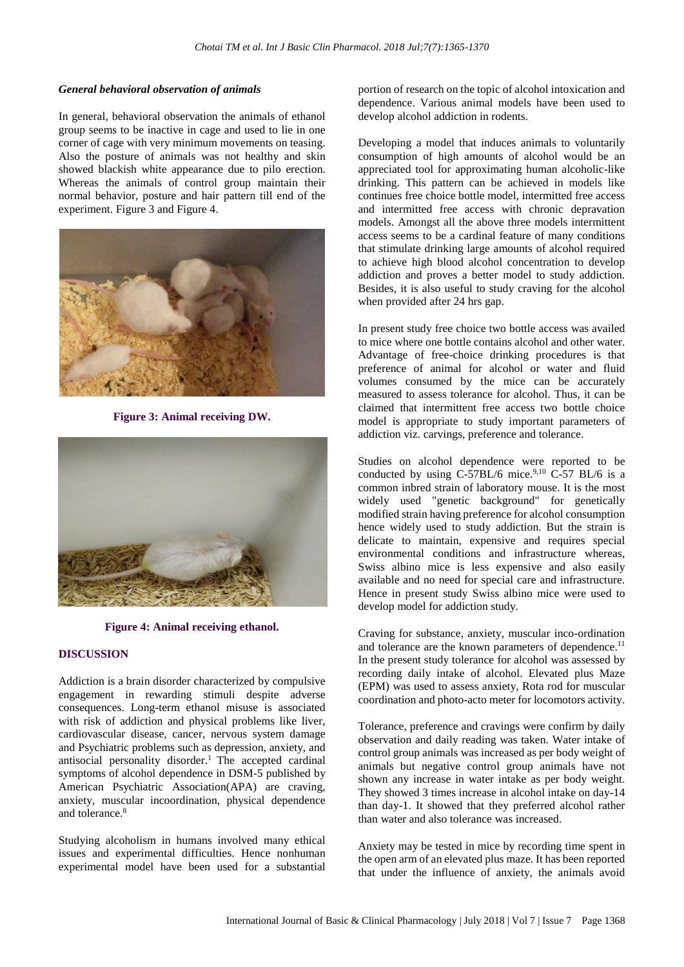## *General behavioral observation of animals*

In general, behavioral observation the animals of ethanol group seems to be inactive in cage and used to lie in one corner of cage with very minimum movements on teasing. Also the posture of animals was not healthy and skin showed blackish white appearance due to pilo erection. Whereas the animals of control group maintain their normal behavior, posture and hair pattern till end of the experiment. Figure 3 and Figure 4.



**Figure 3: Animal receiving DW.**



**Figure 4: Animal receiving ethanol.**

## **DISCUSSION**

Addiction is a brain disorder characterized by compulsive engagement in rewarding stimuli despite adverse consequences. Long-term ethanol misuse is associated with risk of addiction and physical problems like liver, cardiovascular disease, cancer, nervous system damage and Psychiatric problems such as depression, anxiety, and antisocial personality disorder.<sup>1</sup> The accepted cardinal symptoms of alcohol dependence in DSM-5 published by American Psychiatric Association(APA) are craving, anxiety, muscular incoordination, physical dependence and tolerance.<sup>8</sup>

Studying alcoholism in humans involved many ethical issues and experimental difficulties. Hence nonhuman experimental model have been used for a substantial portion of research on the topic of alcohol intoxication and dependence. Various animal models have been used to develop alcohol addiction in rodents.

Developing a model that induces animals to voluntarily consumption of high amounts of alcohol would be an appreciated tool for approximating human alcoholic-like drinking. This pattern can be achieved in models like continues free choice bottle model, intermitted free access and intermitted free access with chronic depravation models. Amongst all the above three models intermittent access seems to be a cardinal feature of many conditions that stimulate drinking large amounts of alcohol required to achieve high blood alcohol concentration to develop addiction and proves a better model to study addiction. Besides, it is also useful to study craving for the alcohol when provided after 24 hrs gap.

In present study free choice two bottle access was availed to mice where one bottle contains alcohol and other water. Advantage of free-choice drinking procedures is that preference of animal for alcohol or water and fluid volumes consumed by the mice can be accurately measured to assess tolerance for alcohol. Thus, it can be claimed that intermittent free access two bottle choice model is appropriate to study important parameters of addiction viz. carvings, preference and tolerance.

Studies on alcohol dependence were reported to be conducted by using C-57BL/6 mice. $9,10$  C-57 BL/6 is a common inbred strain of laboratory mouse. It is the most widely used "genetic background" for genetically modified strain having preference for alcohol consumption hence widely used to study addiction. But the strain is delicate to maintain, expensive and requires special environmental conditions and infrastructure whereas, Swiss albino mice is less expensive and also easily available and no need for special care and infrastructure. Hence in present study Swiss albino mice were used to develop model for addiction study.

Craving for substance, anxiety, muscular inco-ordination and tolerance are the known parameters of dependence.<sup>11</sup> In the present study tolerance for alcohol was assessed by recording daily intake of alcohol. Elevated plus Maze (EPM) was used to assess anxiety, Rota rod for muscular coordination and photo-acto meter for locomotors activity.

Tolerance, preference and cravings were confirm by daily observation and daily reading was taken. Water intake of control group animals was increased as per body weight of animals but negative control group animals have not shown any increase in water intake as per body weight. They showed 3 times increase in alcohol intake on day-14 than day-1. It showed that they preferred alcohol rather than water and also tolerance was increased.

Anxiety may be tested in mice by recording time spent in the open arm of an elevated plus maze*.* It has been reported that under the influence of anxiety, the animals avoid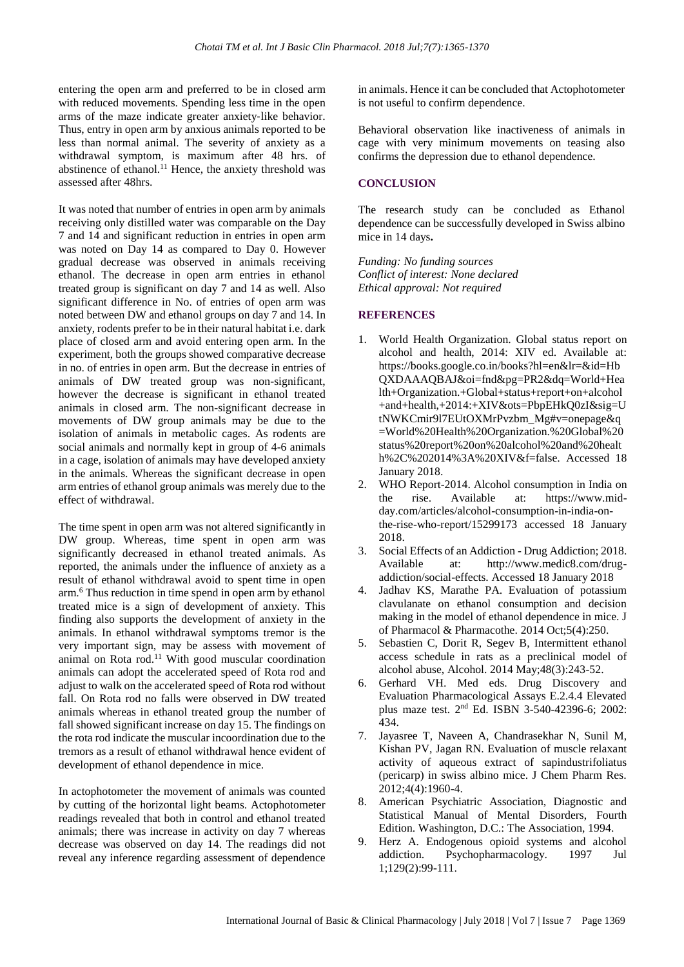entering the open arm and preferred to be in closed arm with reduced movements. Spending less time in the open arms of the maze indicate greater anxiety‐like behavior. Thus, entry in open arm by anxious animals reported to be less than normal animal. The severity of anxiety as a withdrawal symptom, is maximum after 48 hrs. of abstinence of ethanol.<sup>11</sup> Hence, the anxiety threshold was assessed after 48hrs.

It was noted that number of entries in open arm by animals receiving only distilled water was comparable on the Day 7 and 14 and significant reduction in entries in open arm was noted on Day 14 as compared to Day 0. However gradual decrease was observed in animals receiving ethanol. The decrease in open arm entries in ethanol treated group is significant on day 7 and 14 as well. Also significant difference in No. of entries of open arm was noted between DW and ethanol groups on day 7 and 14. In anxiety, rodents prefer to be in their natural habitat i.e. dark place of closed arm and avoid entering open arm. In the experiment, both the groups showed comparative decrease in no. of entries in open arm. But the decrease in entries of animals of DW treated group was non-significant, however the decrease is significant in ethanol treated animals in closed arm. The non-significant decrease in movements of DW group animals may be due to the isolation of animals in metabolic cages. As rodents are social animals and normally kept in group of 4-6 animals in a cage, isolation of animals may have developed anxiety in the animals. Whereas the significant decrease in open arm entries of ethanol group animals was merely due to the effect of withdrawal.

The time spent in open arm was not altered significantly in DW group. Whereas, time spent in open arm was significantly decreased in ethanol treated animals. As reported, the animals under the influence of anxiety as a result of ethanol withdrawal avoid to spent time in open arm.<sup>6</sup> Thus reduction in time spend in open arm by ethanol treated mice is a sign of development of anxiety. This finding also supports the development of anxiety in the animals. In ethanol withdrawal symptoms tremor is the very important sign, may be assess with movement of animal on Rota rod. $11$  With good muscular coordination animals can adopt the accelerated speed of Rota rod and adjust to walk on the accelerated speed of Rota rod without fall. On Rota rod no falls were observed in DW treated animals whereas in ethanol treated group the number of fall showed significant increase on day 15. The findings on the rota rod indicate the muscular incoordination due to the tremors as a result of ethanol withdrawal hence evident of development of ethanol dependence in mice.

In actophotometer the movement of animals was counted by cutting of the horizontal light beams. Actophotometer readings revealed that both in control and ethanol treated animals; there was increase in activity on day 7 whereas decrease was observed on day 14. The readings did not reveal any inference regarding assessment of dependence in animals. Hence it can be concluded that Actophotometer is not useful to confirm dependence.

Behavioral observation like inactiveness of animals in cage with very minimum movements on teasing also confirms the depression due to ethanol dependence.

## **CONCLUSION**

The research study can be concluded as Ethanol dependence can be successfully developed in Swiss albino mice in 14 days**.**

*Funding: No funding sources Conflict of interest: None declared Ethical approval: Not required*

## **REFERENCES**

- 1. World Health Organization. Global status report on alcohol and health, 2014: XIV ed. Available at: https://books.google.co.in/books?hl=en&lr=&id=Hb QXDAAAQBAJ&oi=fnd&pg=PR2&dq=World+Hea lth+Organization.+Global+status+report+on+alcohol +and+health,+2014:+XIV&ots=PbpEHkQ0zI&sig=U tNWKCmir9l7EUtOXMrPvzbm\_Mg#v=onepage&q =World%20Health%20Organization.%20Global%20 status%20report%20on%20alcohol%20and%20healt h%2C%202014%3A%20XIV&f=false. Accessed 18 January 2018.
- 2. WHO Report-2014. Alcohol consumption in India on the rise. Available at: https://www.midday.com/articles/alcohol-consumption-in-india-onthe-rise-who-report/15299173 accessed 18 January 2018.
- 3. Social Effects of an Addiction Drug Addiction; 2018. Available at: http://www.medic8.com/drugaddiction/social-effects. Accessed 18 January 2018
- 4. Jadhav KS, Marathe PA. Evaluation of potassium clavulanate on ethanol consumption and decision making in the model of ethanol dependence in mice. J of Pharmacol & Pharmacothe. 2014 Oct;5(4):250.
- 5. Sebastien C, Dorit R, Segev B, Intermittent ethanol access schedule in rats as a preclinical model of alcohol abuse, Alcohol. 2014 May;48(3):243-52.
- 6. Gerhard VH. Med eds. Drug Discovery and Evaluation Pharmacological Assays E.2.4.4 Elevated plus maze test. 2nd Ed. ISBN 3-540-42396-6; 2002: 434.
- 7. Jayasree T, Naveen A, Chandrasekhar N, Sunil M, Kishan PV, Jagan RN. Evaluation of muscle relaxant activity of aqueous extract of sapindustrifoliatus (pericarp) in swiss albino mice. J Chem Pharm Res. 2012;4(4):1960-4.
- 8. American Psychiatric Association, Diagnostic and Statistical Manual of Mental Disorders, Fourth Edition. Washington, D.C.: The Association, 1994.
- 9. Herz A. Endogenous opioid systems and alcohol addiction. Psychopharmacology. 1997 Jul 1;129(2):99-111.